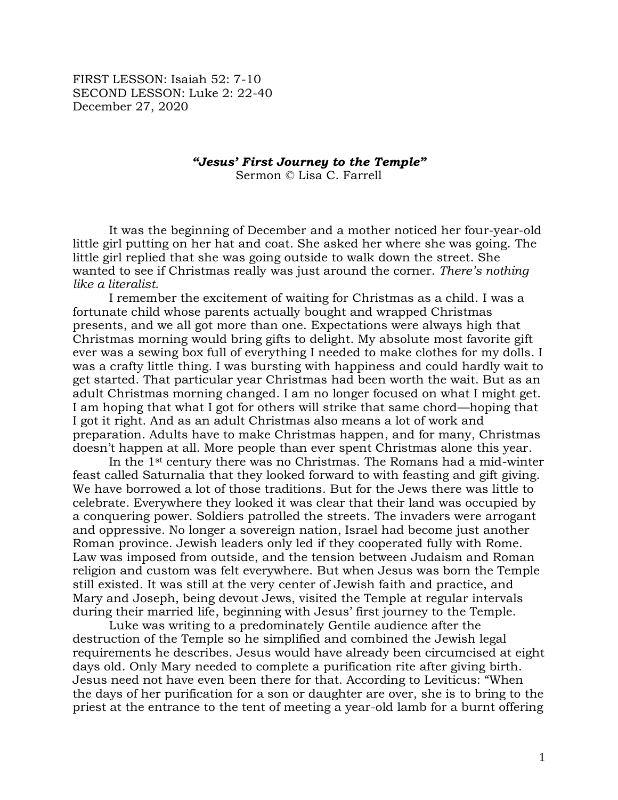FIRST LESSON: Isaiah 52: 7-10 SECOND LESSON: Luke 2: 22-40 December 27, 2020

*"Jesus' First Journey to the Temple"*

Sermon © Lisa C. Farrell

It was the beginning of December and a mother noticed her four-year-old little girl putting on her hat and coat. She asked her where she was going. The little girl replied that she was going outside to walk down the street. She wanted to see if Christmas really was just around the corner. *There's nothing like a literalist.*

I remember the excitement of waiting for Christmas as a child. I was a fortunate child whose parents actually bought and wrapped Christmas presents, and we all got more than one. Expectations were always high that Christmas morning would bring gifts to delight. My absolute most favorite gift ever was a sewing box full of everything I needed to make clothes for my dolls. I was a crafty little thing. I was bursting with happiness and could hardly wait to get started. That particular year Christmas had been worth the wait. But as an adult Christmas morning changed. I am no longer focused on what I might get. I am hoping that what I got for others will strike that same chord—hoping that I got it right. And as an adult Christmas also means a lot of work and preparation. Adults have to make Christmas happen, and for many, Christmas doesn't happen at all. More people than ever spent Christmas alone this year.

In the 1st century there was no Christmas. The Romans had a mid-winter feast called Saturnalia that they looked forward to with feasting and gift giving. We have borrowed a lot of those traditions. But for the Jews there was little to celebrate. Everywhere they looked it was clear that their land was occupied by a conquering power. Soldiers patrolled the streets. The invaders were arrogant and oppressive. No longer a sovereign nation, Israel had become just another Roman province. Jewish leaders only led if they cooperated fully with Rome. Law was imposed from outside, and the tension between Judaism and Roman religion and custom was felt everywhere. But when Jesus was born the Temple still existed. It was still at the very center of Jewish faith and practice, and Mary and Joseph, being devout Jews, visited the Temple at regular intervals during their married life, beginning with Jesus' first journey to the Temple.

Luke was writing to a predominately Gentile audience after the destruction of the Temple so he simplified and combined the Jewish legal requirements he describes. Jesus would have already been circumcised at eight days old. Only Mary needed to complete a purification rite after giving birth. Jesus need not have even been there for that. According to Leviticus: "When the days of her purification for a son or daughter are over, she is to bring to the priest at the entrance to the tent of meeting a year-old lamb for a burnt offering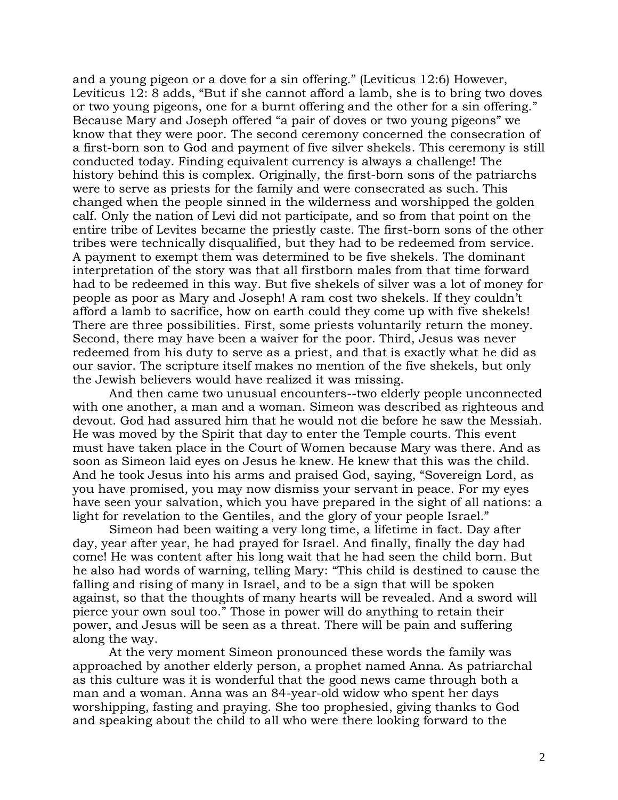and a young pigeon or a dove for a sin offering." (Leviticus 12:6) However, Leviticus 12: 8 adds, "But if she cannot afford a lamb, she is to bring two doves or two young pigeons, one for a burnt offering and the other for a sin offering." Because Mary and Joseph offered "a pair of doves or two young pigeons" we know that they were poor. The second ceremony concerned the consecration of a first-born son to God and payment of five silver shekels. This ceremony is still conducted today. Finding equivalent currency is always a challenge! The history behind this is complex. Originally, the first-born sons of the patriarchs were to serve as priests for the family and were consecrated as such. This changed when the people sinned in the wilderness and worshipped the golden calf. Only the nation of Levi did not participate, and so from that point on the entire tribe of Levites became the priestly caste. The first-born sons of the other tribes were technically disqualified, but they had to be redeemed from service. A payment to exempt them was determined to be five shekels. The dominant interpretation of the story was that all firstborn males from that time forward had to be redeemed in this way. But five shekels of silver was a lot of money for people as poor as Mary and Joseph! A ram cost two shekels. If they couldn't afford a lamb to sacrifice, how on earth could they come up with five shekels! There are three possibilities. First, some priests voluntarily return the money. Second, there may have been a waiver for the poor. Third, Jesus was never redeemed from his duty to serve as a priest, and that is exactly what he did as our savior. The scripture itself makes no mention of the five shekels, but only the Jewish believers would have realized it was missing.

And then came two unusual encounters--two elderly people unconnected with one another, a man and a woman. Simeon was described as righteous and devout. God had assured him that he would not die before he saw the Messiah. He was moved by the Spirit that day to enter the Temple courts. This event must have taken place in the Court of Women because Mary was there. And as soon as Simeon laid eyes on Jesus he knew. He knew that this was the child. And he took Jesus into his arms and praised God, saying, "Sovereign Lord, as you have promised, you may now dismiss your servant in peace. For my eyes have seen your salvation, which you have prepared in the sight of all nations: a light for revelation to the Gentiles, and the glory of your people Israel."

Simeon had been waiting a very long time, a lifetime in fact. Day after day, year after year, he had prayed for Israel. And finally, finally the day had come! He was content after his long wait that he had seen the child born. But he also had words of warning, telling Mary: "This child is destined to cause the falling and rising of many in Israel, and to be a sign that will be spoken against, so that the thoughts of many hearts will be revealed. And a sword will pierce your own soul too." Those in power will do anything to retain their power, and Jesus will be seen as a threat. There will be pain and suffering along the way.

At the very moment Simeon pronounced these words the family was approached by another elderly person, a prophet named Anna. As patriarchal as this culture was it is wonderful that the good news came through both a man and a woman. Anna was an 84-year-old widow who spent her days worshipping, fasting and praying. She too prophesied, giving thanks to God and speaking about the child to all who were there looking forward to the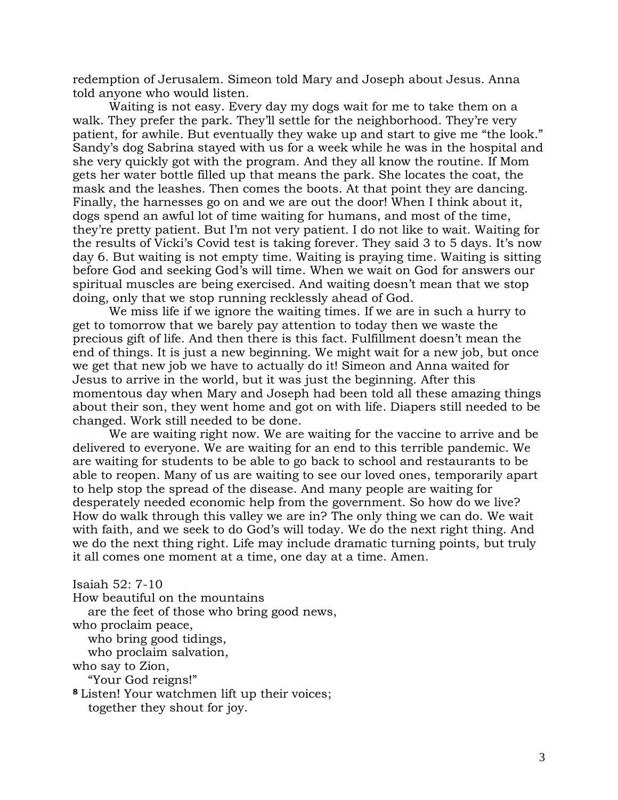redemption of Jerusalem. Simeon told Mary and Joseph about Jesus. Anna told anyone who would listen.

Waiting is not easy. Every day my dogs wait for me to take them on a walk. They prefer the park. They'll settle for the neighborhood. They're very patient, for awhile. But eventually they wake up and start to give me "the look." Sandy's dog Sabrina stayed with us for a week while he was in the hospital and she very quickly got with the program. And they all know the routine. If Mom gets her water bottle filled up that means the park. She locates the coat, the mask and the leashes. Then comes the boots. At that point they are dancing. Finally, the harnesses go on and we are out the door! When I think about it, dogs spend an awful lot of time waiting for humans, and most of the time, they're pretty patient. But I'm not very patient. I do not like to wait. Waiting for the results of Vicki's Covid test is taking forever. They said 3 to 5 days. It's now day 6. But waiting is not empty time. Waiting is praying time. Waiting is sitting before God and seeking God's will time. When we wait on God for answers our spiritual muscles are being exercised. And waiting doesn't mean that we stop doing, only that we stop running recklessly ahead of God.

We miss life if we ignore the waiting times. If we are in such a hurry to get to tomorrow that we barely pay attention to today then we waste the precious gift of life. And then there is this fact. Fulfillment doesn't mean the end of things. It is just a new beginning. We might wait for a new job, but once we get that new job we have to actually do it! Simeon and Anna waited for Jesus to arrive in the world, but it was just the beginning. After this momentous day when Mary and Joseph had been told all these amazing things about their son, they went home and got on with life. Diapers still needed to be changed. Work still needed to be done.

We are waiting right now. We are waiting for the vaccine to arrive and be delivered to everyone. We are waiting for an end to this terrible pandemic. We are waiting for students to be able to go back to school and restaurants to be able to reopen. Many of us are waiting to see our loved ones, temporarily apart to help stop the spread of the disease. And many people are waiting for desperately needed economic help from the government. So how do we live? How do walk through this valley we are in? The only thing we can do. We wait with faith, and we seek to do God's will today. We do the next right thing. And we do the next thing right. Life may include dramatic turning points, but truly it all comes one moment at a time, one day at a time. Amen.

Isaiah 52: 7-10 How beautiful on the mountains are the feet of those who bring good news, who proclaim peace, who bring good tidings, who proclaim salvation, who say to Zion, "Your God reigns!" **<sup>8</sup>** Listen! Your watchmen lift up their voices; together they shout for joy.